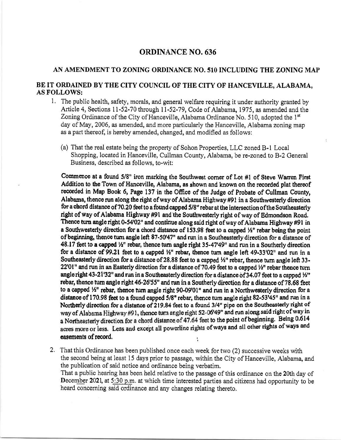## ORDINANCE NO. 636

## AN AMENDMENT TO ZONING ORDINANCE NO. SlO INCLUDING THE ZONING MAP

## BE IT ORDAINED BY THE CITY COUNCIL OF THE CITY OF HANCEVILLE, ALABAMA, AS FOLLOWS:

- 1, The public health, safety, morals, and general welfare requiring it under authority granted by Article 4, Sections ll-52-70 through ll-52-79, Code of Alabama,1975, as amended and the Zoning Ordinance of the City of Hanceville, Alabama Ordinance No. 510, adopted the  $1<sup>st</sup>$ day of May,2006, as amended, and more particularly the Hanceville, Alabama zoning map as a part thereof, is hereby amended, changed, and modified as follows:
	- (a) That the real estate being the property of Sohon Properties, LLC zoned B-1 Local Shopping, located in Hanceville, Cullman County, Alabama, be re-zoned to B-2 General Business, described as follows, to-wit:

Commence at a found  $5/8$ " iron marking the Southwest corner of Lot #1 of Steve Warren First Addition to the Town of Hanceville, Alabama, as shown and known on the recorded plat thereof recorded in Map Book 6, Page 137 in the Offrce of the Judge of Probate of Cullman County, Alabama, thence run along the right of way of Alabama Highway  $#91$  in a Southwesterly direction for a chord distance of 70.20 feet to a found capped 5/8" rebar at the intersection ofthe Southeasterly right of way of Alabama Highway #91 and'the Southwesterly right of way of Edmondson Road, Thence turn angle right 0-54'02" and continue along said right of way of Alabama Highway #91 in a Southwesterly direction for a chord distance of  $153.98$  feet to a capped  $\frac{1}{2}$ " rebar being the point of beginning, thence turn angle left 87-50'47" and run in a Southeasterly direction for a distance of 48.17 feet to a capped  $\frac{1}{2}$ " rebar, thence turn angle right 35-47'49" and run in a Southerly direction for a distance of 99.21 feet to a capped  $\frac{1}{2}$ " rebar, thence turn angle left 49-33'02" and run in a Southeasterly direction for a distance of 28.88 feet to a capped  $\frac{1}{2}$ " rebar, thence turn angle left 33-22'01" and run in an Easterly direction for a distance of 70.49 feet to a capped  $\frac{1}{2}$ " rebar thence turn angle right 43-21'32" and run in a Southeasterly direction for a distance of 34.07 feet to a capped  $\frac{1}{2}$ " rebar, thence turn angle right 46-26'55" and run in a Southerly direction for a distance of 78.68 feet to a capped  $\frac{1}{2}$ " rebar, thence turn angle right 90-09'01" and run in a Northwesterly direction for a distance of 170.98 feet to a found capped  $5/8$ " rebar, thence turn angle right 82-53'45" and run in a Northerly direction for a distance of 219.84 feet to a found 3/4" pipe on the Southeasterly right of way of Alabama Highway #91, thence turn angle right 52-06'49" and run along said right of way in a Northeasterly direction for a chord distance of 47.64 feet to the point of beginning. Being 0.614 acres more or less. Less and except all powerline rights of ways and all other rights of ways and easements of record.

2, That this Ordinance has been published once each week for two (2) successive weeks with the second being at least 15 days prior to passage, within the City of Hanceville, Alabama, and the publication of said notice and ordinance being verbatim. That a public hearing has been held relative to the passage of this ordinance on the 20th day of December 2021, at 5:30 p.m. at which time interested parties and citizens had opportunity to be heard concerning said ordinance and any changes relating thereto.